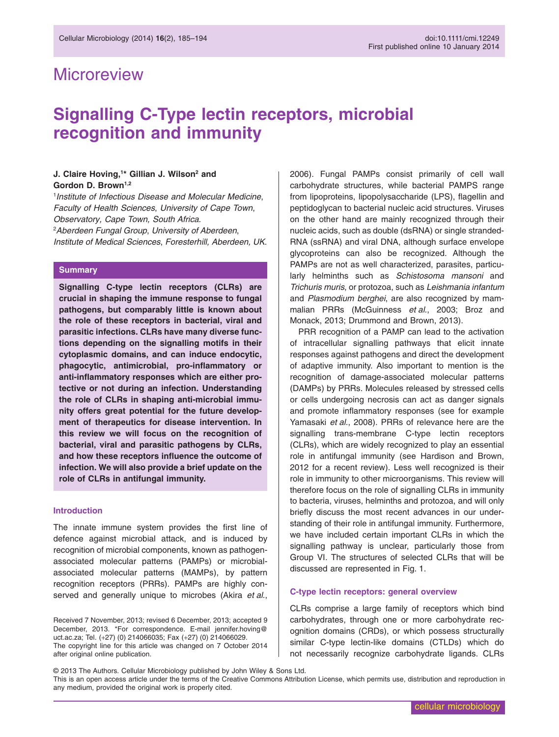## **Microreview**

# **Signalling C-Type lectin receptors, microbial recognition and immunity**

### **J. Claire Hoving,1 \* Gillian J. Wilson2 and** Gordon D. Brown<sup>1,2</sup>

1 *Institute of Infectious Disease and Molecular Medicine*, *Faculty of Health Sciences*, *University of Cape Town*, *Observatory, Cape Town, South Africa*. 2 *Aberdeen Fungal Group*, *University of Aberdeen*, *Institute of Medical Sciences*, *Foresterhill, Aberdeen, UK*.

#### **Summary**

**Signalling C-type lectin receptors (CLRs) are crucial in shaping the immune response to fungal pathogens, but comparably little is known about the role of these receptors in bacterial, viral and parasitic infections. CLRs have many diverse functions depending on the signalling motifs in their cytoplasmic domains, and can induce endocytic, phagocytic, antimicrobial, pro-inflammatory or anti-inflammatory responses which are either protective or not during an infection. Understanding the role of CLRs in shaping anti-microbial immunity offers great potential for the future development of therapeutics for disease intervention. In this review we will focus on the recognition of bacterial, viral and parasitic pathogens by CLRs, and how these receptors influence the outcome of infection. We will also provide a brief update on the role of CLRs in antifungal immunity.**

#### **Introduction**

The innate immune system provides the first line of defence against microbial attack, and is induced by recognition of microbial components, known as pathogenassociated molecular patterns (PAMPs) or microbialassociated molecular patterns (MAMPs), by pattern recognition receptors (PRRs). PAMPs are highly conserved and generally unique to microbes (Akira *et al*.,

Received 7 November, 2013; revised 6 December, 2013; accepted 9 December, 2013. \*For correspondence. E-mail [jennifer.hoving@](mailto:jennifer.hoving@uct.ac.za) [uct.ac.za;](mailto:jennifer.hoving@uct.ac.za) Tel. (+27) (0) 214066035; Fax (+27) (0) 214066029. The copyright line for this article was changed on 7 October 2014 after original online publication.

2006). Fungal PAMPs consist primarily of cell wall carbohydrate structures, while bacterial PAMPS range from lipoproteins, lipopolysaccharide (LPS), flagellin and peptidoglycan to bacterial nucleic acid structures. Viruses on the other hand are mainly recognized through their nucleic acids, such as double (dsRNA) or single stranded-RNA (ssRNA) and viral DNA, although surface envelope glycoproteins can also be recognized. Although the PAMPs are not as well characterized, parasites, particularly helminths such as *Schistosoma mansoni* and *Trichuris muris*, or protozoa, such as *Leishmania infantum* and *Plasmodium berghei*, are also recognized by mammalian PRRs (McGuinness *et al*., 2003; Broz and Monack, 2013; Drummond and Brown, 2013).

PRR recognition of a PAMP can lead to the activation of intracellular signalling pathways that elicit innate responses against pathogens and direct the development of adaptive immunity. Also important to mention is the recognition of damage-associated molecular patterns (DAMPs) by PRRs. Molecules released by stressed cells or cells undergoing necrosis can act as danger signals and promote inflammatory responses (see for example Yamasaki *et al*., 2008). PRRs of relevance here are the signalling trans-membrane C-type lectin receptors (CLRs), which are widely recognized to play an essential role in antifungal immunity (see Hardison and Brown, 2012 for a recent review). Less well recognized is their role in immunity to other microorganisms. This review will therefore focus on the role of signalling CLRs in immunity to bacteria, viruses, helminths and protozoa, and will only briefly discuss the most recent advances in our understanding of their role in antifungal immunity. Furthermore, we have included certain important CLRs in which the signalling pathway is unclear, particularly those from Group VI. The structures of selected CLRs that will be discussed are represented in Fig. 1.

#### **C-type lectin receptors: general overview**

CLRs comprise a large family of receptors which bind carbohydrates, through one or more carbohydrate recognition domains (CRDs), or which possess structurally similar C-type lectin-like domains (CTLDs) which do not necessarily recognize carbohydrate ligands. CLRs

© 2013 The Authors. Cellular Microbiology published by John Wiley & Sons Ltd. This is an open access article under the terms of the [Creative Commons Attribution](http://creativecommons.org/licenses/by/4.0/) License, which permits use, distribution and reproduction in any medium, provided the original work is properly cited.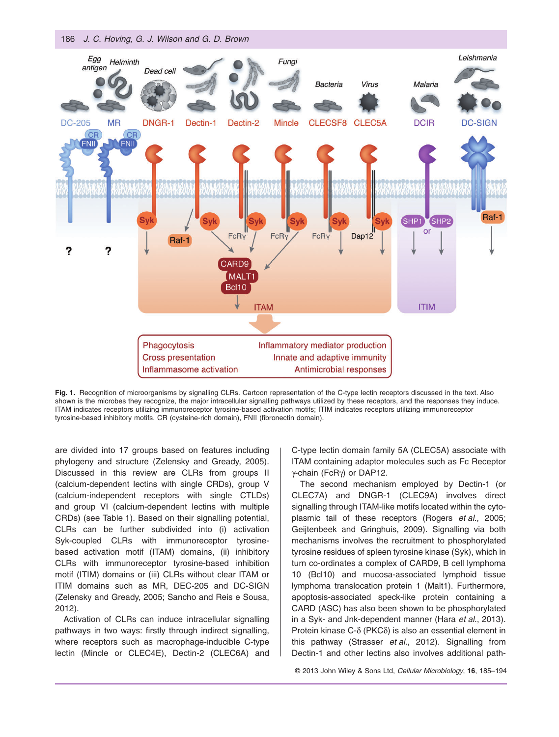186 *J. C. Hoving, G. J. Wilson and G. D. Brown*



**Fig. 1.** Recognition of microorganisms by signalling CLRs. Cartoon representation of the C-type lectin receptors discussed in the text. Also shown is the microbes they recognize, the major intracellular signalling pathways utilized by these receptors, and the responses they induce. ITAM indicates receptors utilizing immunoreceptor tyrosine-based activation motifs; ITIM indicates receptors utilizing immunoreceptor tyrosine-based inhibitory motifs. CR (cysteine-rich domain), FNII (fibronectin domain).

are divided into 17 groups based on features including phylogeny and structure (Zelensky and Gready, 2005). Discussed in this review are CLRs from groups II (calcium-dependent lectins with single CRDs), group V (calcium-independent receptors with single CTLDs) and group VI (calcium-dependent lectins with multiple CRDs) (see Table 1). Based on their signalling potential, CLRs can be further subdivided into (i) activation Syk-coupled CLRs with immunoreceptor tyrosinebased activation motif (ITAM) domains, (ii) inhibitory CLRs with immunoreceptor tyrosine-based inhibition motif (ITIM) domains or (iii) CLRs without clear ITAM or ITIM domains such as MR, DEC-205 and DC-SIGN (Zelensky and Gready, 2005; Sancho and Reis e Sousa, 2012).

Activation of CLRs can induce intracellular signalling pathways in two ways: firstly through indirect signalling, where receptors such as macrophage-inducible C-type lectin (Mincle or CLEC4E), Dectin-2 (CLEC6A) and

C-type lectin domain family 5A (CLEC5A) associate with ITAM containing adaptor molecules such as Fc Receptor γ-chain (FcRγ) or DAP12.

The second mechanism employed by Dectin-1 (or CLEC7A) and DNGR-1 (CLEC9A) involves direct signalling through ITAM-like motifs located within the cytoplasmic tail of these receptors (Rogers *et al*., 2005; Geijtenbeek and Gringhuis, 2009). Signalling via both mechanisms involves the recruitment to phosphorylated tyrosine residues of spleen tyrosine kinase (Syk), which in turn co-ordinates a complex of CARD9, B cell lymphoma 10 (Bcl10) and mucosa-associated lymphoid tissue lymphoma translocation protein 1 (Malt1). Furthermore, apoptosis-associated speck-like protein containing a CARD (ASC) has also been shown to be phosphorylated in a Syk- and Jnk-dependent manner (Hara *et al*., 2013). Protein kinase C-δ (PKCδ) is also an essential element in this pathway (Strasser *et al*., 2012). Signalling from Dectin-1 and other lectins also involves additional path-

© 2013 John Wiley & Sons Ltd, *Cellular Microbiology*, **16**, 185–194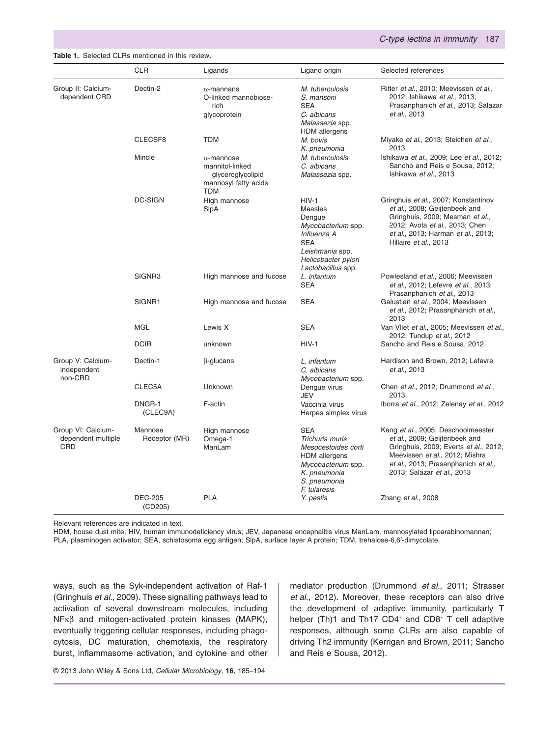#### **Table 1.** Selected CLRs mentioned in this review**.**

|                                                 | <b>CLR</b>                | Ligands                                                                                         | Ligand origin                                                                                                                                          | Selected references                                                                                                                                                                                                 |
|-------------------------------------------------|---------------------------|-------------------------------------------------------------------------------------------------|--------------------------------------------------------------------------------------------------------------------------------------------------------|---------------------------------------------------------------------------------------------------------------------------------------------------------------------------------------------------------------------|
| Group II: Calcium-<br>dependent CRD             | Dectin-2                  | $\alpha$ -mannans<br>O-linked mannobiose-<br>rich<br>glycoprotein                               | M. tuberculosis<br>S. mansoni<br><b>SEA</b><br>C. albicans<br>Malassezia spp.<br><b>HDM</b> allergens                                                  | Ritter et al., 2010; Meevissen et al.,<br>2012; Ishikawa et al., 2013;<br>Prasanphanich et al., 2013; Salazar<br>et al., 2013                                                                                       |
|                                                 | CLECSF8                   | <b>TDM</b>                                                                                      | M. bovis<br>K. pneumonia                                                                                                                               | Miyake et al., 2013; Steichen et al.,<br>2013                                                                                                                                                                       |
|                                                 | Mincle                    | $\alpha$ -mannose<br>mannitol-linked<br>glyceroglycolipid<br>mannosyl fatty acids<br><b>TDM</b> | M. tuberculosis<br>C. albicans<br>Malassezia spp.                                                                                                      | Ishikawa et al., 2009; Lee et al., 2012;<br>Sancho and Reis e Sousa, 2012;<br>Ishikawa et al., 2013                                                                                                                 |
|                                                 | <b>DC-SIGN</b>            | High mannose<br>SlpA                                                                            | $HIV-1$<br><b>Measles</b><br>Dengue<br>Mycobacterium spp.<br>Influenza A<br><b>SEA</b><br>Leishmania spp.<br>Helicobacter pylori<br>Lactobacillus spp. | Gringhuis et al., 2007; Konstantinov<br>et al., 2008; Geijtenbeek and<br>Gringhuis, 2009; Mesman et al.,<br>2012; Avota et al., 2013; Chen<br>et al., 2013; Harman et al., 2013;<br>Hillaire et al., 2013           |
|                                                 | SIGNR3                    | High mannose and fucose                                                                         | L. infantum<br><b>SEA</b>                                                                                                                              | Powlesland et al., 2006; Meevissen<br>et al., 2012; Lefevre et al., 2013;<br>Prasanphanich et al., 2013                                                                                                             |
|                                                 | SIGNR1                    | High mannose and fucose                                                                         | <b>SEA</b>                                                                                                                                             | Galustian et al., 2004; Meevissen<br>et al., 2012; Prasanphanich et al.,<br>2013                                                                                                                                    |
|                                                 | <b>MGL</b>                | Lewis X                                                                                         | <b>SEA</b>                                                                                                                                             | Van Vliet et al., 2005; Meevissen et al.,<br>2012; Tundup et al., 2012                                                                                                                                              |
|                                                 | <b>DCIR</b>               | unknown                                                                                         | $HIV-1$                                                                                                                                                | Sancho and Reis e Sousa, 2012                                                                                                                                                                                       |
| Group V: Calcium-<br>independent<br>non-CRD     | Dectin-1                  | $\beta$ -glucans                                                                                | L. infantum<br>C. albicans<br>Mycobacterium spp.                                                                                                       | Hardison and Brown, 2012; Lefevre<br>et al., 2013                                                                                                                                                                   |
|                                                 | CLEC5A                    | Unknown                                                                                         | Dengue virus<br><b>JEV</b>                                                                                                                             | Chen et al., 2012; Drummond et al.,<br>2013                                                                                                                                                                         |
|                                                 | DNGR-1<br>(CLEC9A)        | F-actin                                                                                         | Vaccinia virus<br>Herpes simplex virus                                                                                                                 | Iborra et al., 2012; Zelenay et al., 2012                                                                                                                                                                           |
| Group VI: Calcium-<br>dependent multiple<br>CRD | Mannose<br>Receptor (MR)  | High mannose<br>Omega-1<br>ManLam                                                               | <b>SEA</b><br>Trichuris muris<br>Mesocestoides corti<br><b>HDM</b> allergens<br>Mycobacterium spp.<br>K. pneumonia<br>S. pneumonia<br>F. tularesis     | Kang et al., 2005; Deschoolmeester<br>et al., 2009; Geijtenbeek and<br>Gringhuis, 2009; Everts et al., 2012;<br>Meevissen et al., 2012; Mishra<br>et al., 2013; Prasanphanich et al.,<br>2013; Salazar et al., 2013 |
|                                                 | <b>DEC-205</b><br>(CD205) | <b>PLA</b>                                                                                      | Y. pestis                                                                                                                                              | Zhang et al., 2008                                                                                                                                                                                                  |

Relevant references are indicated in text.

HDM, house dust mite; HIV, human immunodeficiency virus; JEV, Japanese encephalitis virus ManLam, mannosylated lipoarabinomannan; PLA, plasminogen activator; SEA, schistosoma egg antigen; SlpA, surface layer A protein; TDM, trehalose-6,6′-dimycolate.

ways, such as the Syk-independent activation of Raf-1 (Gringhuis *et al*., 2009). These signalling pathways lead to activation of several downstream molecules, including NFκβ and mitogen-activated protein kinases (MAPK), eventually triggering cellular responses, including phagocytosis, DC maturation, chemotaxis, the respiratory burst, inflammasome activation, and cytokine and other mediator production (Drummond *et al*., 2011; Strasser *et al*., 2012). Moreover, these receptors can also drive the development of adaptive immunity, particularly T helper (Th)1 and Th17 CD4<sup>+</sup> and CD8<sup>+</sup> T cell adaptive responses, although some CLRs are also capable of driving Th2 immunity (Kerrigan and Brown, 2011; Sancho and Reis e Sousa, 2012).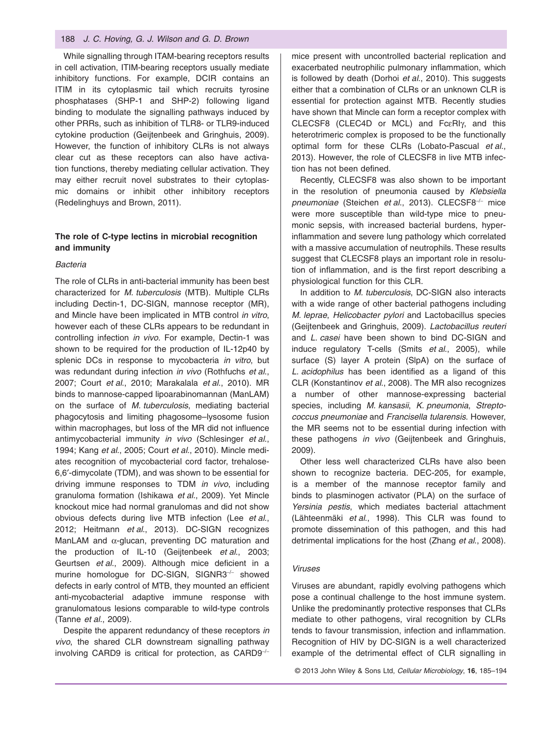#### 188 *J. C. Hoving, G. J. Wilson and G. D. Brown*

While signalling through ITAM-bearing receptors results in cell activation, ITIM-bearing receptors usually mediate inhibitory functions. For example, DCIR contains an ITIM in its cytoplasmic tail which recruits tyrosine phosphatases (SHP-1 and SHP-2) following ligand binding to modulate the signalling pathways induced by other PRRs, such as inhibition of TLR8- or TLR9-induced cytokine production (Geijtenbeek and Gringhuis, 2009). However, the function of inhibitory CLRs is not always clear cut as these receptors can also have activation functions, thereby mediating cellular activation. They may either recruit novel substrates to their cytoplasmic domains or inhibit other inhibitory receptors (Redelinghuys and Brown, 2011).

## **The role of C-type lectins in microbial recognition and immunity**

#### *Bacteria*

The role of CLRs in anti-bacterial immunity has been best characterized for *M. tuberculosis* (MTB). Multiple CLRs including Dectin-1, DC-SIGN, mannose receptor (MR), and Mincle have been implicated in MTB control *in vitro*, however each of these CLRs appears to be redundant in controlling infection *in vivo*. For example, Dectin-1 was shown to be required for the production of IL-12p40 by splenic DCs in response to mycobacteria *in vitro*, but was redundant during infection *in vivo* (Rothfuchs *et al*., 2007; Court *et al*., 2010; Marakalala *et al*., 2010). MR binds to mannose-capped lipoarabinomannan (ManLAM) on the surface of *M. tuberculosis*, mediating bacterial phagocytosis and limiting phagosome–lysosome fusion within macrophages, but loss of the MR did not influence antimycobacterial immunity *in vivo* (Schlesinger *et al*., 1994; Kang *et al*., 2005; Court *et al*., 2010). Mincle mediates recognition of mycobacterial cord factor, trehalose-6,6′-dimycolate (TDM), and was shown to be essential for driving immune responses to TDM *in vivo*, including granuloma formation (Ishikawa *et al*., 2009). Yet Mincle knockout mice had normal granulomas and did not show obvious defects during live MTB infection (Lee *et al*., 2012; Heitmann *et al*., 2013). DC-SIGN recognizes ManLAM and  $\alpha$ -glucan, preventing DC maturation and the production of IL-10 (Geijtenbeek *et al*., 2003; Geurtsen *et al*., 2009). Although mice deficient in a murine homologue for DC-SIGN, SIGNR3<sup>−</sup>/<sup>−</sup> showed defects in early control of MTB, they mounted an efficient anti-mycobacterial adaptive immune response with granulomatous lesions comparable to wild-type controls (Tanne *et al*., 2009).

Despite the apparent redundancy of these receptors *in vivo*, the shared CLR downstream signalling pathway involving CARD9 is critical for protection, as CARD9<sup>−</sup>/<sup>−</sup>

mice present with uncontrolled bacterial replication and exacerbated neutrophilic pulmonary inflammation, which is followed by death (Dorhoi *et al*., 2010). This suggests either that a combination of CLRs or an unknown CLR is essential for protection against MTB. Recently studies have shown that Mincle can form a receptor complex with CLECSF8 (CLEC4D or MCL) and FcεRIγ, and this heterotrimeric complex is proposed to be the functionally optimal form for these CLRs (Lobato-Pascual *et al*., 2013). However, the role of CLECSF8 in live MTB infection has not been defined.

Recently, CLECSF8 was also shown to be important in the resolution of pneumonia caused by *Klebsiella pneumoniae* (Steichen *et al*., 2013). CLECSF8<sup>−</sup>/<sup>−</sup> mice were more susceptible than wild-type mice to pneumonic sepsis, with increased bacterial burdens, hyperinflammation and severe lung pathology which correlated with a massive accumulation of neutrophils. These results suggest that CLECSF8 plays an important role in resolution of inflammation, and is the first report describing a physiological function for this CLR.

In addition to *M. tuberculosis*, DC-SIGN also interacts with a wide range of other bacterial pathogens including *M. leprae*, *Helicobacter pylori* and Lactobacillus species (Geijtenbeek and Gringhuis, 2009). *Lactobacillus reuteri* and *L. casei* have been shown to bind DC-SIGN and induce regulatory T-cells (Smits *et al*., 2005), while surface (S) layer A protein (SlpA) on the surface of *L. acidophilus* has been identified as a ligand of this CLR (Konstantinov *et al*., 2008). The MR also recognizes a number of other mannose-expressing bacterial species, including *M. kansasii*, *K. pneumonia*, *Streptococcus pneumoniae* and *Francisella tularensis*. However, the MR seems not to be essential during infection with these pathogens *in vivo* (Geijtenbeek and Gringhuis, 2009).

Other less well characterized CLRs have also been shown to recognize bacteria. DEC-205, for example, is a member of the mannose receptor family and binds to plasminogen activator (PLA) on the surface of *Yersinia pestis*, which mediates bacterial attachment (Lähteenmäki *et al*., 1998). This CLR was found to promote dissemination of this pathogen, and this had detrimental implications for the host (Zhang *et al*., 2008).

#### *Viruses*

Viruses are abundant, rapidly evolving pathogens which pose a continual challenge to the host immune system. Unlike the predominantly protective responses that CLRs mediate to other pathogens, viral recognition by CLRs tends to favour transmission, infection and inflammation. Recognition of HIV by DC-SIGN is a well characterized example of the detrimental effect of CLR signalling in

© 2013 John Wiley & Sons Ltd, *Cellular Microbiology*, **16**, 185–194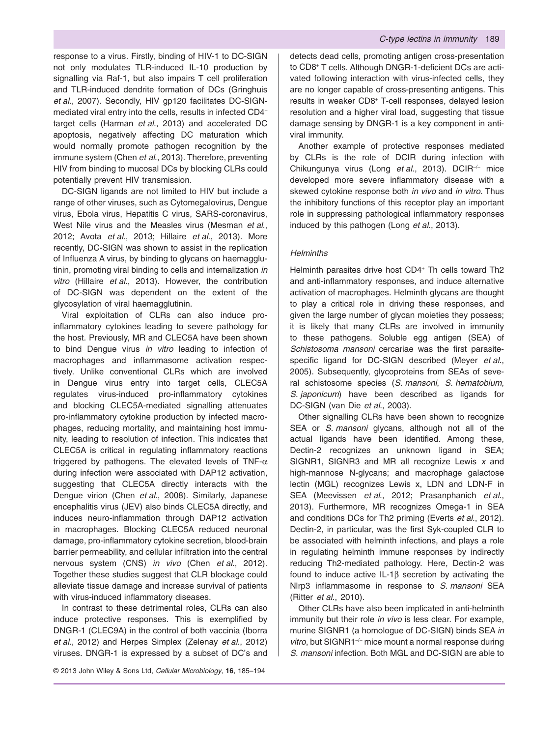response to a virus. Firstly, binding of HIV-1 to DC-SIGN not only modulates TLR-induced IL-10 production by signalling via Raf-1, but also impairs T cell proliferation and TLR-induced dendrite formation of DCs (Gringhuis *et al*., 2007). Secondly, HIV gp120 facilitates DC-SIGNmediated viral entry into the cells, results in infected CD4<sup>+</sup> target cells (Harman *et al*., 2013) and accelerated DC apoptosis, negatively affecting DC maturation which would normally promote pathogen recognition by the immune system (Chen *et al*., 2013). Therefore, preventing HIV from binding to mucosal DCs by blocking CLRs could potentially prevent HIV transmission.

DC-SIGN ligands are not limited to HIV but include a range of other viruses, such as Cytomegalovirus, Dengue virus, Ebola virus, Hepatitis C virus, SARS-coronavirus, West Nile virus and the Measles virus (Mesman *et al*., 2012; Avota *et al*., 2013; Hillaire *et al*., 2013). More recently, DC-SIGN was shown to assist in the replication of Influenza A virus, by binding to glycans on haemagglutinin, promoting viral binding to cells and internalization *in vitro* (Hillaire *et al*., 2013). However, the contribution of DC-SIGN was dependent on the extent of the glycosylation of viral haemagglutinin.

Viral exploitation of CLRs can also induce proinflammatory cytokines leading to severe pathology for the host. Previously, MR and CLEC5A have been shown to bind Dengue virus *in vitro* leading to infection of macrophages and inflammasome activation respectively. Unlike conventional CLRs which are involved in Dengue virus entry into target cells, CLEC5A regulates virus-induced pro-inflammatory cytokines and blocking CLEC5A-mediated signalling attenuates pro-inflammatory cytokine production by infected macrophages, reducing mortality, and maintaining host immunity, leading to resolution of infection. This indicates that CLEC5A is critical in regulating inflammatory reactions triggered by pathogens. The elevated levels of TNF- $\alpha$ during infection were associated with DAP12 activation, suggesting that CLEC5A directly interacts with the Dengue virion (Chen *et al*., 2008). Similarly, Japanese encephalitis virus (JEV) also binds CLEC5A directly, and induces neuro-inflammation through DAP12 activation in macrophages. Blocking CLEC5A reduced neuronal damage, pro-inflammatory cytokine secretion, blood-brain barrier permeability, and cellular infiltration into the central nervous system (CNS) *in vivo* (Chen *et al*., 2012). Together these studies suggest that CLR blockage could alleviate tissue damage and increase survival of patients with virus-induced inflammatory diseases.

In contrast to these detrimental roles, CLRs can also induce protective responses. This is exemplified by DNGR-1 (CLEC9A) in the control of both vaccinia (Iborra *et al*., 2012) and Herpes Simplex (Zelenay *et al*., 2012) viruses. DNGR-1 is expressed by a subset of DC's and

detects dead cells, promoting antigen cross-presentation to CD8<sup>+</sup> T cells. Although DNGR-1-deficient DCs are activated following interaction with virus-infected cells, they are no longer capable of cross-presenting antigens. This results in weaker CD8<sup>+</sup> T-cell responses, delayed lesion resolution and a higher viral load, suggesting that tissue damage sensing by DNGR-1 is a key component in antiviral immunity.

Another example of protective responses mediated by CLRs is the role of DCIR during infection with Chikungunya virus (Long *et al*., 2013). DCIR<sup>−</sup>/<sup>−</sup> mice developed more severe inflammatory disease with a skewed cytokine response both *in vivo* and *in vitro*. Thus the inhibitory functions of this receptor play an important role in suppressing pathological inflammatory responses induced by this pathogen (Long *et al*., 2013).

#### *Helminths*

Helminth parasites drive host CD4<sup>+</sup> Th cells toward Th2 and anti-inflammatory responses, and induce alternative activation of macrophages. Helminth glycans are thought to play a critical role in driving these responses, and given the large number of glycan moieties they possess; it is likely that many CLRs are involved in immunity to these pathogens. Soluble egg antigen (SEA) of *Schistosoma mansoni* cercariae was the first parasitespecific ligand for DC-SIGN described (Meyer *et al*., 2005). Subsequently, glycoproteins from SEAs of several schistosome species (*S. mansoni*, *S. hematobium*, *S. japonicum*) have been described as ligands for DC-SIGN (van Die *et al*., 2003).

Other signalling CLRs have been shown to recognize SEA or *S. mansoni* glycans, although not all of the actual ligands have been identified. Among these, Dectin-2 recognizes an unknown ligand in SEA; SIGNR1, SIGNR3 and MR all recognize Lewis *x* and high-mannose N-glycans; and macrophage galactose lectin (MGL) recognizes Lewis x, LDN and LDN-F in SEA (Meevissen *et al*., 2012; Prasanphanich *et al*., 2013). Furthermore, MR recognizes Omega-1 in SEA and conditions DCs for Th2 priming (Everts *et al*., 2012). Dectin-2, in particular, was the first Syk-coupled CLR to be associated with helminth infections, and plays a role in regulating helminth immune responses by indirectly reducing Th2-mediated pathology. Here, Dectin-2 was found to induce active IL-1β secretion by activating the Nlrp3 inflammasome in response to *S. mansoni* SEA (Ritter *et al*., 2010).

Other CLRs have also been implicated in anti-helminth immunity but their role *in vivo* is less clear. For example, murine SIGNR1 (a homologue of DC-SIGN) binds SEA *in vitro*, but SIGNR1<sup>−</sup>/<sup>−</sup> mice mount a normal response during *S. mansoni* infection. Both MGL and DC-SIGN are able to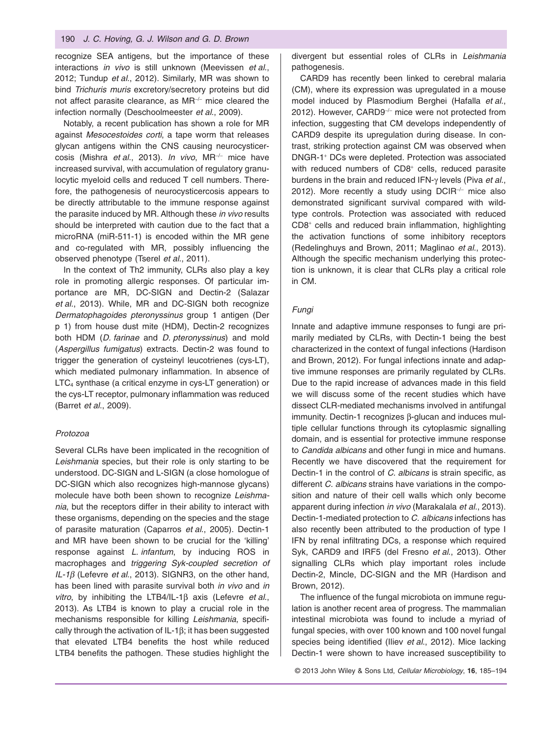recognize SEA antigens, but the importance of these interactions *in vivo* is still unknown (Meevissen *et al*., 2012; Tundup *et al*., 2012). Similarly, MR was shown to bind *Trichuris muris* excretory/secretory proteins but did not affect parasite clearance, as MR<sup>-/−</sup> mice cleared the infection normally (Deschoolmeester *et al*., 2009).

Notably, a recent publication has shown a role for MR against *Mesocestoides corti*, a tape worm that releases glycan antigens within the CNS causing neurocysticercosis (Mishra *et al*., 2013). *In vivo*, MR<sup>−</sup>/<sup>−</sup> mice have increased survival, with accumulation of regulatory granulocytic myeloid cells and reduced T cell numbers. Therefore, the pathogenesis of neurocysticercosis appears to be directly attributable to the immune response against the parasite induced by MR. Although these *in vivo* results should be interpreted with caution due to the fact that a microRNA (miR-511-1) is encoded within the MR gene and co-regulated with MR, possibly influencing the observed phenotype (Tserel *et al*., 2011).

In the context of Th2 immunity, CLRs also play a key role in promoting allergic responses. Of particular importance are MR, DC-SIGN and Dectin-2 (Salazar *et al*., 2013). While, MR and DC-SIGN both recognize *Dermatophagoides pteronyssinus* group 1 antigen (Der p 1) from house dust mite (HDM), Dectin-2 recognizes both HDM (*D. farinae* and *D. pteronyssinus*) and mold (*Aspergillus fumigatus*) extracts. Dectin-2 was found to trigger the generation of cysteinyl leucotrienes (cys-LT), which mediated pulmonary inflammation. In absence of LTC4 synthase (a critical enzyme in cys-LT generation) or the cys-LT receptor, pulmonary inflammation was reduced (Barret *et al*., 2009).

#### *Protozoa*

Several CLRs have been implicated in the recognition of *Leishmania* species, but their role is only starting to be understood. DC-SIGN and L-SIGN (a close homologue of DC-SIGN which also recognizes high-mannose glycans) molecule have both been shown to recognize *Leishmania*, but the receptors differ in their ability to interact with these organisms, depending on the species and the stage of parasite maturation (Caparros *et al*., 2005). Dectin-1 and MR have been shown to be crucial for the 'killing' response against *L. infantum*, by inducing ROS in macrophages and *triggering Syk-coupled secretion of IL-1β* (Lefevre *et al*., 2013). SIGNR3, on the other hand, has been lined with parasite survival both *in vivo* and *in vitro*, by inhibiting the LTB4/IL-1β axis (Lefevre *et al*., 2013). As LTB4 is known to play a crucial role in the mechanisms responsible for killing *Leishmania*, specifically through the activation of IL-1β; it has been suggested that elevated LTB4 benefits the host while reduced LTB4 benefits the pathogen. These studies highlight the

divergent but essential roles of CLRs in *Leishmania* pathogenesis.

CARD9 has recently been linked to cerebral malaria (CM), where its expression was upregulated in a mouse model induced by Plasmodium Berghei (Hafalla *et al*., 2012). However, CARD9<sup>-/−</sup> mice were not protected from infection, suggesting that CM develops independently of CARD9 despite its upregulation during disease. In contrast, striking protection against CM was observed when DNGR-1<sup>+</sup> DCs were depleted. Protection was associated with reduced numbers of CD8<sup>+</sup> cells, reduced parasite burdens in the brain and reduced IFN-γ levels (Piva *et al*., 2012). More recently a study using DCIR<sup>−</sup>/<sup>−</sup> mice also demonstrated significant survival compared with wildtype controls. Protection was associated with reduced CD8<sup>+</sup> cells and reduced brain inflammation, highlighting the activation functions of some inhibitory receptors (Redelinghuys and Brown, 2011; Maglinao *et al*., 2013). Although the specific mechanism underlying this protection is unknown, it is clear that CLRs play a critical role in CM.

#### *Fungi*

Innate and adaptive immune responses to fungi are primarily mediated by CLRs, with Dectin-1 being the best characterized in the context of fungal infections (Hardison and Brown, 2012). For fungal infections innate and adaptive immune responses are primarily regulated by CLRs. Due to the rapid increase of advances made in this field we will discuss some of the recent studies which have dissect CLR-mediated mechanisms involved in antifungal immunity. Dectin-1 recognizes β-glucan and induces multiple cellular functions through its cytoplasmic signalling domain, and is essential for protective immune response to *Candida albicans* and other fungi in mice and humans. Recently we have discovered that the requirement for Dectin-1 in the control of *C. albicans* is strain specific, as different *C. albicans* strains have variations in the composition and nature of their cell walls which only become apparent during infection *in vivo* (Marakalala *et al*., 2013). Dectin-1-mediated protection to *C. albicans* infections has also recently been attributed to the production of type I IFN by renal infiltrating DCs, a response which required Syk, CARD9 and IRF5 (del Fresno *et al*., 2013). Other signalling CLRs which play important roles include Dectin-2, Mincle, DC-SIGN and the MR (Hardison and Brown, 2012).

The influence of the fungal microbiota on immune regulation is another recent area of progress. The mammalian intestinal microbiota was found to include a myriad of fungal species, with over 100 known and 100 novel fungal species being identified (Iliev *et al*., 2012). Mice lacking Dectin-1 were shown to have increased susceptibility to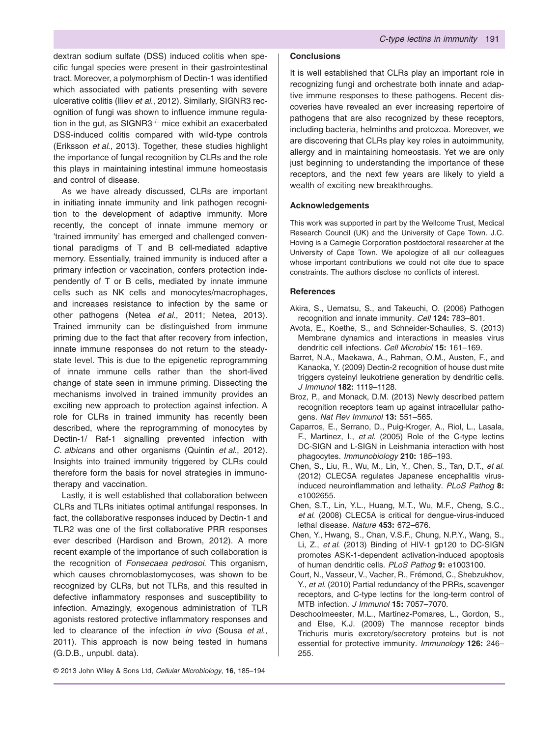dextran sodium sulfate (DSS) induced colitis when specific fungal species were present in their gastrointestinal tract. Moreover, a polymorphism of Dectin-1 was identified which associated with patients presenting with severe ulcerative colitis (Iliev *et al*., 2012). Similarly, SIGNR3 recognition of fungi was shown to influence immune regulation in the gut, as SIGNR3<sup>−</sup>/<sup>−</sup> mice exhibit an exacerbated DSS-induced colitis compared with wild-type controls (Eriksson *et al*., 2013). Together, these studies highlight the importance of fungal recognition by CLRs and the role this plays in maintaining intestinal immune homeostasis and control of disease.

As we have already discussed, CLRs are important in initiating innate immunity and link pathogen recognition to the development of adaptive immunity. More recently, the concept of innate immune memory or 'trained immunity' has emerged and challenged conventional paradigms of T and B cell-mediated adaptive memory. Essentially, trained immunity is induced after a primary infection or vaccination, confers protection independently of T or B cells, mediated by innate immune cells such as NK cells and monocytes/macrophages, and increases resistance to infection by the same or other pathogens (Netea *et al*., 2011; Netea, 2013). Trained immunity can be distinguished from immune priming due to the fact that after recovery from infection, innate immune responses do not return to the steadystate level. This is due to the epigenetic reprogramming of innate immune cells rather than the short-lived change of state seen in immune priming. Dissecting the mechanisms involved in trained immunity provides an exciting new approach to protection against infection. A role for CLRs in trained immunity has recently been described, where the reprogramming of monocytes by Dectin-1/ Raf-1 signalling prevented infection with *C. albicans* and other organisms (Quintin *et al*., 2012). Insights into trained immunity triggered by CLRs could therefore form the basis for novel strategies in immunotherapy and vaccination.

Lastly, it is well established that collaboration between CLRs and TLRs initiates optimal antifungal responses. In fact, the collaborative responses induced by Dectin-1 and TLR2 was one of the first collaborative PRR responses ever described (Hardison and Brown, 2012). A more recent example of the importance of such collaboration is the recognition of *Fonsecaea pedrosoi*. This organism, which causes chromoblastomycoses, was shown to be recognized by CLRs, but not TLRs, and this resulted in defective inflammatory responses and susceptibility to infection. Amazingly, exogenous administration of TLR agonists restored protective inflammatory responses and led to clearance of the infection *in vivo* (Sousa *et al*., 2011). This approach is now being tested in humans (G.D.B., unpubl. data).

## **Conclusions**

It is well established that CLRs play an important role in recognizing fungi and orchestrate both innate and adaptive immune responses to these pathogens. Recent discoveries have revealed an ever increasing repertoire of pathogens that are also recognized by these receptors, including bacteria, helminths and protozoa. Moreover, we are discovering that CLRs play key roles in autoimmunity, allergy and in maintaining homeostasis. Yet we are only just beginning to understanding the importance of these receptors, and the next few years are likely to yield a wealth of exciting new breakthroughs.

#### **Acknowledgements**

This work was supported in part by the Wellcome Trust, Medical Research Council (UK) and the University of Cape Town. J.C. Hoving is a Carnegie Corporation postdoctoral researcher at the University of Cape Town. We apologize of all our colleagues whose important contributions we could not cite due to space constraints. The authors disclose no conflicts of interest.

#### **References**

- Akira, S., Uematsu, S., and Takeuchi, O. (2006) Pathogen recognition and innate immunity. *Cell* **124:** 783–801.
- Avota, E., Koethe, S., and Schneider-Schaulies, S. (2013) Membrane dynamics and interactions in measles virus dendritic cell infections. *Cell Microbiol* **15:** 161–169.
- Barret, N.A., Maekawa, A., Rahman, O.M., Austen, F., and Kanaoka, Y. (2009) Dectin-2 recognition of house dust mite triggers cysteinyl leukotriene generation by dendritic cells. *J Immunol* **182:** 1119–1128.
- Broz, P., and Monack, D.M. (2013) Newly described pattern recognition receptors team up against intracellular pathogens. *Nat Rev Immunol* **13:** 551–565.
- Caparros, E., Serrano, D., Puig-Kroger, A., Riol, L., Lasala, F., Martinez, I., *et al*. (2005) Role of the C-type lectins DC-SIGN and L-SIGN in Leishmania interaction with host phagocytes. *Immunobiology* **210:** 185–193.
- Chen, S., Liu, R., Wu, M., Lin, Y., Chen, S., Tan, D.T., *et al*. (2012) CLEC5A regulates Japanese encephalitis virusinduced neuroinflammation and lethality. *PLoS Pathog* **8:** e1002655.
- Chen, S.T., Lin, Y.L., Huang, M.T., Wu, M.F., Cheng, S.C., *et al*. (2008) CLEC5A is critical for dengue-virus-induced lethal disease. *Nature* **453:** 672–676.
- Chen, Y., Hwang, S., Chan, V.S.F., Chung, N.P.Y., Wang, S., Li, Z., *et al*. (2013) Binding of HIV-1 gp120 to DC-SIGN promotes ASK-1-dependent activation-induced apoptosis of human dendritic cells. *PLoS Pathog* **9:** e1003100.
- Court, N., Vasseur, V., Vacher, R., Frémond, C., Shebzukhov, Y., *et al*. (2010) Partial redundancy of the PRRs, scavenger receptors, and C-type lectins for the long-term control of MTB infection. *J Immunol* **15:** 7057–7070.
- Deschoolmeester, M.L., Martinez-Pomares, L., Gordon, S., and Else, K.J. (2009) The mannose receptor binds Trichuris muris excretory/secretory proteins but is not essential for protective immunity. *Immunology* **126:** 246– 255.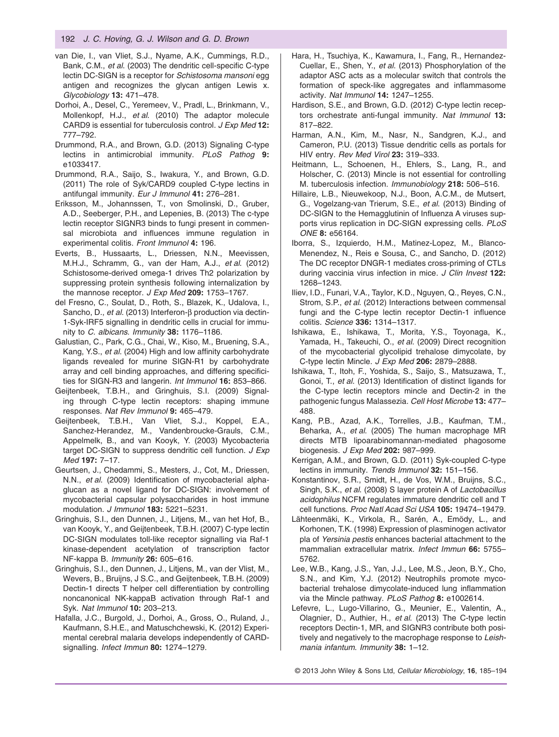- van Die, I., van Vliet, S.J., Nyame, A.K., Cummings, R.D., Bank, C.M., *et al*. (2003) The dendritic cell-specific C-type lectin DC-SIGN is a receptor for *Schistosoma mansoni* egg antigen and recognizes the glycan antigen Lewis x. *Glycobiology* **13:** 471–478.
- Dorhoi, A., Desel, C., Yeremeev, V., Pradl, L., Brinkmann, V., Mollenkopf, H.J., *et al*. (2010) The adaptor molecule CARD9 is essential for tuberculosis control. *J Exp Med* **12:** 777–792.
- Drummond, R.A., and Brown, G.D. (2013) Signaling C-type lectins in antimicrobial immunity. *PLoS Pathog* **9:** e1033417.
- Drummond, R.A., Saijo, S., Iwakura, Y., and Brown, G.D. (2011) The role of Syk/CARD9 coupled C-type lectins in antifungal immunity. *Eur J Immunol* **41:** 276–281.
- Eriksson, M., Johannssen, T., von Smolinski, D., Gruber, A.D., Seeberger, P.H., and Lepenies, B. (2013) The c-type lectin receptor SIGNR3 binds to fungi present in commensal microbiota and influences immune regulation in experimental colitis. *Front Immunol* **4:** 196.
- Everts, B., Hussaarts, L., Driessen, N.N., Meevissen, M.H.J., Schramm, G., van der Ham, A.J., *et al*. (2012) Schistosome-derived omega-1 drives Th2 polarization by suppressing protein synthesis following internalization by the mannose receptor. *J Exp Med* **209:** 1753–1767.
- del Fresno, C., Soulat, D., Roth, S., Blazek, K., Udalova, I., Sancho, D., *et al*. (2013) Interferon-β production via dectin-1-Syk-IRF5 signalling in dendritic cells in crucial for immunity to *C. albicans*. *Immunity* **38:** 1176–1186.
- Galustian, C., Park, C.G., Chai, W., Kiso, M., Bruening, S.A., Kang, Y.S., *et al*. (2004) High and low affinity carbohydrate ligands revealed for murine SIGN-R1 by carbohydrate array and cell binding approaches, and differing specificities for SIGN-R3 and langerin. *Int Immunol* **16:** 853–866.
- Geijtenbeek, T.B.H., and Gringhuis, S.I. (2009) Signaling through C-type lectin receptors: shaping immune responses. *Nat Rev Immunol* **9:** 465–479.
- Geijtenbeek, T.B.H., Van Vliet, S.J., Koppel, E.A., Sanchez-Herandez, M., Vandenbroucke-Grauls, C.M., Appelmelk, B., and van Kooyk, Y. (2003) Mycobacteria target DC-SIGN to suppress dendritic cell function. *J Exp Med* **197:** 7–17.
- Geurtsen, J., Chedammi, S., Mesters, J., Cot, M., Driessen, N.N., *et al*. (2009) Identification of mycobacterial alphaglucan as a novel ligand for DC-SIGN: involvement of mycobacterial capsular polysaccharides in host immune modulation. *J Immunol* **183:** 5221–5231.
- Gringhuis, S.I., den Dunnen, J., Litjens, M., van het Hof, B., van Kooyk, Y., and Geijtenbeek, T.B.H. (2007) C-type lectin DC-SIGN modulates toll-like receptor signalling via Raf-1 kinase-dependent acetylation of transcription factor NF-kappa B. *Immunity* **26:** 605–616.
- Gringhuis, S.I., den Dunnen, J., Litjens, M., van der Vlist, M., Wevers, B., Bruijns, J S.C., and Geijtenbeek, T.B.H. (2009) Dectin-1 directs T helper cell differentiation by controlling noncanonical NK-kappaB activation through Raf-1 and Syk. *Nat Immunol* **10:** 203–213.
- Hafalla, J.C., Burgold, J., Dorhoi, A., Gross, O., Ruland, J., Kaufmann, S.H.E., and Matuschchewski, K. (2012) Experimental cerebral malaria develops independently of CARDsignalling. *Infect Immun* **80:** 1274–1279.
- Hara, H., Tsuchiya, K., Kawamura, I., Fang, R., Hernandez-Cuellar, E., Shen, Y., *et al*. (2013) Phosphorylation of the adaptor ASC acts as a molecular switch that controls the formation of speck-like aggregates and inflammasome activity. *Nat Immunol* **14:** 1247–1255.
- Hardison, S.E., and Brown, G.D. (2012) C-type lectin receptors orchestrate anti-fungal immunity. *Nat Immunol* **13:** 817–822.
- Harman, A.N., Kim, M., Nasr, N., Sandgren, K.J., and Cameron, P.U. (2013) Tissue dendritic cells as portals for HIV entry. *Rev Med Virol* **23:** 319–333.
- Heitmann, L., Schoenen, H., Ehlers, S., Lang, R., and Holscher, C. (2013) Mincle is not essential for controlling M. tuberculosis infection. *Immunobiology* **218:** 506–516.
- Hillaire, L.B., Nieuwekoop, N.J., Boon, A.C.M., de Mutsert, G., Vogelzang-van Trierum, S.E., *et al*. (2013) Binding of DC-SIGN to the Hemagglutinin of Influenza A viruses supports virus replication in DC-SIGN expressing cells. *PLoS ONE* **8:** e56164.
- Iborra, S., Izquierdo, H.M., Matinez-Lopez, M., Blanco-Menendez, N., Reis e Sousa, C., and Sancho, D. (2012) The DC receptor DNGR-1 mediates cross-priming of CTLs during vaccinia virus infection in mice. *J Clin Invest* **122:** 1268–1243.
- Iliev, I.D., Funari, V.A., Taylor, K.D., Nguyen, Q., Reyes, C.N., Strom, S.P., *et al*. (2012) Interactions between commensal fungi and the C-type lectin receptor Dectin-1 influence colitis. *Science* **336:** 1314–1317.
- Ishikawa, E., Ishikawa, T., Morita, Y.S., Toyonaga, K., Yamada, H., Takeuchi, O., *et al*. (2009) Direct recognition of the mycobacterial glycolipid trehalose dimycolate, by C-type lectin Mincle. *J Exp Med* **206:** 2879–2888.
- Ishikawa, T., Itoh, F., Yoshida, S., Saijo, S., Matsuzawa, T., Gonoi, T., *et al*. (2013) Identification of distinct ligands for the C-type lectin receptors mincle and Dectin-2 in the pathogenic fungus Malassezia. *Cell Host Microbe* **13:** 477– 488.
- Kang, P.B., Azad, A.K., Torrelles, J.B., Kaufman, T.M., Beharka, A., *et al*. (2005) The human macrophage MR directs MTB lipoarabinomannan-mediated phagosome biogenesis. *J Exp Med* **202:** 987–999.
- Kerrigan, A.M., and Brown, G.D. (2011) Syk-coupled C-type lectins in immunity. *Trends Immunol* **32:** 151–156.
- Konstantinov, S.R., Smidt, H., de Vos, W.M., Bruijns, S.C., Singh, S.K., *et al*. (2008) S layer protein A of *Lactobacillus acidophilus* NCFM regulates immature dendritic cell and T cell functions. *Proc Natl Acad Sci USA* **105:** 19474–19479.
- Lähteenmäki, K., Virkola, R., Sarén, A., Emödy, L., and Korhonen, T.K. (1998) Expression of plasminogen activator pla of *Yersinia pestis* enhances bacterial attachment to the mammalian extracellular matrix. *Infect Immun* **66:** 5755– 5762.
- Lee, W.B., Kang, J.S., Yan, J.J., Lee, M.S., Jeon, B.Y., Cho, S.N., and Kim, Y.J. (2012) Neutrophils promote mycobacterial trehalose dimycolate-induced lung inflammation via the Mincle pathway. *PLoS Pathog* **8:** e1002614.
- Lefevre, L., Lugo-Villarino, G., Meunier, E., Valentin, A., Olagnier, D., Authier, H., *et al*. (2013) The C-type lectin receptors Dectin-1, MR, and SIGNR3 contribute both positively and negatively to the macrophage response to *Leishmania infantum*. *Immunity* **38:** 1–12.

© 2013 John Wiley & Sons Ltd, *Cellular Microbiology*, **16**, 185–194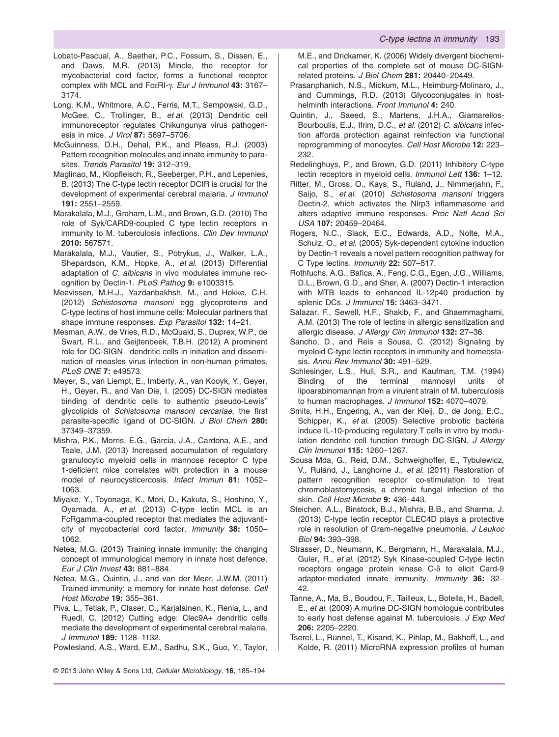- Lobato-Pascual, A., Saether, P.C., Fossum, S., Dissen, E., and Daws, M.R. (2013) Mincle, the receptor for mycobacterial cord factor, forms a functional receptor complex with MCL and FcεRI-γ. *Eur J Immunol* **43:** 3167– 3174.
- Long, K.M., Whitmore, A.C., Ferris, M.T., Sempowski, G.D., McGee, C., Trollinger, B., *et al*. (2013) Dendritic cell immunoreceptor regulates Chikungunya virus pathogenesis in mice. *J Virol* **87:** 5697–5706.
- McGuinness, D.H., Dehal, P.K., and Pleass, R.J. (2003) Pattern recognition molecules and innate immunity to parasites. *Trends Parasitol* **19:** 312–319.
- Maglinao, M., Klopfleisch, R., Seeberger, P.H., and Lepenies, B. (2013) The C-type lectin receptor DCIR is crucial for the development of experimental cerebral malaria. *J Immunol* **191:** 2551–2559.
- Marakalala, M.J., Graham, L.M., and Brown, G.D. (2010) The role of Syk/CARD9-coupled C type lectin receptors in immunity to M. tuberculosis infections. *Clin Dev Immunol* **2010:** 567571.
- Marakalala, M.J., Vautier, S., Potrykus, J., Walker, L.A., Shepardson, K.M., Hopke, A., *et al*. (2013) Differential adaptation of *C. albicans* in vivo modulates immune recognition by Dectin-1. *PLoS Pathog* **9:** e1003315.
- Meevissen, M.H.J., Yazdanbakhsh, M., and Hokke, C.H. (2012) *Schistosoma mansoni* egg glycoproteins and C-type lectins of host immune cells: Molecular partners that shape immune responses. *Exp Parasitol* **132:** 14–21.
- Mesman, A.W., de Vries, R.D., McQuaid, S., Duprex, W.P., de Swart, R.L., and Geijtenbeek, T.B.H. (2012) A prominent role for DC-SIGN+ dendritic cells in initiation and dissemination of measles virus infection in non-human primates. *PLoS ONE* **7:** e49573.
- Meyer, S., van Liempt, E., Imberty, A., van Kooyk, Y., Geyer, H., Geyer, R., and Van Die, I. (2005) DC-SIGN mediates binding of dendritic cells to authentic pseudo-Lewis<sup>Y</sup> glycolipids of *Schistosoma mansoni cercariae*, the first parasite-specific ligand of DC-SIGN. *J Biol Chem* **280:** 37349–37359.
- Mishra, P.K., Morris, E.G., Garcia, J.A., Cardona, A.E., and Teale, J.M. (2013) Increased accumulation of regulatory granulocytic myeloid cells in mannose receptor C type 1-deficient mice correlates with protection in a mouse model of neurocysticercosis. *Infect Immun* **81:** 1052– 1063.
- Miyake, Y., Toyonaga, K., Mori, D., Kakuta, S., Hoshino, Y., Oyamada, A., *et al*. (2013) C-type lectin MCL is an FcRgamma-coupled receptor that mediates the adjuvanticity of mycobacterial cord factor. *Immunity* **38:** 1050– 1062.
- Netea, M.G. (2013) Training innate immunity: the changing concept of immunological memory in innate host defence. *Eur J Clin Invest* **43:** 881–884.
- Netea, M.G., Quintin, J., and van der Meer, J.W.M. (2011) Trained immunity: a memory for innate host defense. *Cell Host Microbe* **19:** 355–361.
- Piva, L., Tetlak, P., Claser, C., Karjalainen, K., Renia, L., and Ruedl, C. (2012) Cutting edge: Clec9A+ dendritic cells mediate the development of experimental cerebral malaria. *J Immunol* **189:** 1128–1132.
- Powlesland, A.S., Ward, E.M., Sadhu, S.K., Guo, Y., Taylor,
- © 2013 John Wiley & Sons Ltd, *Cellular Microbiology*, **16**, 185–194

M.E., and Drickamer, K. (2006) Widely divergent biochemical properties of the complete set of mouse DC-SIGNrelated proteins. *J Biol Chem* **281:** 20440–20449.

- Prasanphanich, N.S., Mickum, M.L., Heimburg-Molinaro, J., and Cummings, R.D. (2013) Glycoconjugates in hosthelminth interactions. *Front Immunol* **4:** 240.
- Quintin, J., Saeed, S., Martens, J.H.A., Giamarellos-Bourboulis, E.J., Ifrim, D.C., *et al*. (2012) *C. albicans* infection affords protection against reinfection via functional reprogramming of monocytes. *Cell Host Microbe* **12:** 223– 232.
- Redelinghuys, P., and Brown, G.D. (2011) Inhibitory C-type lectin receptors in myeloid cells. *Immunol Lett* **136:** 1–12.
- Ritter, M., Gross, O., Kays, S., Ruland, J., Nimmerjahn, F., Saijo, S., *et al*. (2010) *Schistosoma mansoni* triggers Dectin-2, which activates the Nlrp3 inflammasome and alters adaptive immune responses. *Proc Natl Acad Sci USA* **107:** 20459–20464.
- Rogers, N.C., Slack, E.C., Edwards, A.D., Nolte, M.A., Schulz, O., *et al*. (2005) Syk-dependent cytokine induction by Dectin-1 reveals a novel pattern recognition pathway for C Type lectins. *Immunity* **22:** 507–517.
- Rothfuchs, A.G., Bafica, A., Feng, C.G., Egen, J.G., Williams, D.L., Brown, G.D., and Sher, A. (2007) Dectin-1 interaction with MTB leads to enhanced IL-12p40 production by splenic DCs. *J Immunol* **15:** 3463–3471.
- Salazar, F., Sewell, H.F., Shakib, F., and Ghaemmaghami, A.M. (2013) The role of lectins in allergic sensitization and allergic disease. *J Allergy Clin Immunol* **132:** 27–36.
- Sancho, D., and Reis e Sousa, C. (2012) Signaling by myeloid C-type lectin receptors in immunity and homeostasis. *Annu Rev Immunol* **30:** 491–529.
- Schlesinger, L.S., Hull, S.R., and Kaufman, T.M. (1994) Binding of the terminal mannosyl units of lipoarabinomannan from a virulent strain of M. tuberculosis to human macrophages. *J Immunol* **152:** 4070–4079.
- Smits, H.H., Engering, A., van der Kleij, D., de Jong, E.C., Schipper, K., *et al*. (2005) Selective probiotic bacteria induce IL-10-producing regulatory T cells in vitro by modulation dendritic cell function through DC-SIGN. *J Allergy Clin Immunol* **115:** 1260–1267.
- Sousa Mda, G., Reid, D.M., Schweighoffer, E., Tybulewicz, V., Ruland, J., Langhorne J., *et al*. (2011) Restoration of pattern recognition receptor co-stimulation to treat chromoblastomycosis, a chronic fungal infection of the skin. *Cell Host Microbe* **9:** 436–443.
- Steichen, A.L., Binstock, B.J., Mishra, B.B., and Sharma, J. (2013) C-type lectin receptor CLEC4D plays a protective role in resolution of Gram-negative pneumonia. *J Leukoc Biol* **94:** 393–398.
- Strasser, D., Neumann, K., Bergmann, H., Marakalala, M.J., Guler, R., *et al*. (2012) Syk Kinase-coupled C-type lectin receptors engage protein kinase C-δ to elicit Card-9 adaptor-mediated innate immunity. *Immunity* **36:** 32– 42.
- Tanne, A., Ma, B., Boudou, F., Tailleux, L., Botella, H., Badell, E., *et al*. (2009) A murine DC-SIGN homologue contributes to early host defense against M. tuberculosis. *J Exp Med* **206:** 2205–2220.
- Tserel, L., Runnel, T., Kisand, K., Pihlap, M., Bakhoff, L., and Kolde, R. (2011) MicroRNA expression profiles of human